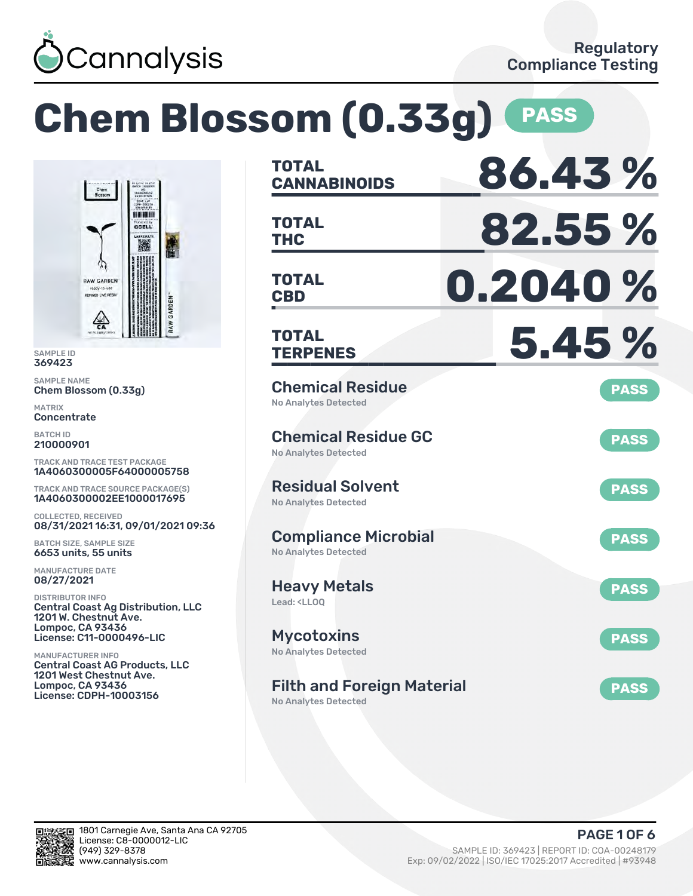

Chem<br>Blossom

**RAW GARDEN** REFINED LIVE RESIN

坐

### **Chem Blossom (0.33g) PASS CANNABINOIDS 86.43 % TOTAL HINDERININ THC 82.55 % TOTAL** Povered by<br>CCELL 撇 **CBD 0.2040 % TOTAL** AW GARDEN **TERPENES 5.45 % TOTAL** Chemical Residue Chem Blossom (0.33g) **PASS** No Analytes Detected Chemical Residue GC **PASS** No Analytes Detected TRACK AND TRACE TEST PACKAGE 1A4060300005F64000005758 Residual Solvent TRACK AND TRACE SOURCE PACKAGE(S) **PASS** 1A4060300002EE1000017695 No Analytes Detected 08/31/2021 16:31, 09/01/2021 09:36 Compliance Microbial **PASS** No Analytes Detected Heavy Metals **PASS** Lead: <LLOQ Central Coast Ag Distribution, LLC 1201 W. Chestnut Ave. **Mycotoxins** License: C11-0000496-LIC **PASS** No Analytes Detected Central Coast AG Products, LLC 1201 West Chestnut Ave. Filth and Foreign Material **PASS** License: CDPH-10003156 No Analytes Detected



SAMPLE ID 369423 SAMPLE NAME

MATRIX **Concentrate** BATCH ID 210000901

COLLECTED, RECEIVED

BATCH SIZE, SAMPLE SIZE 6653 units, 55 units MANUFACTURE DATE 08/27/2021 DISTRIBUTOR INFO

Lompoc, CA 93436

MANUFACTURER INFO

Lompoc, CA 93436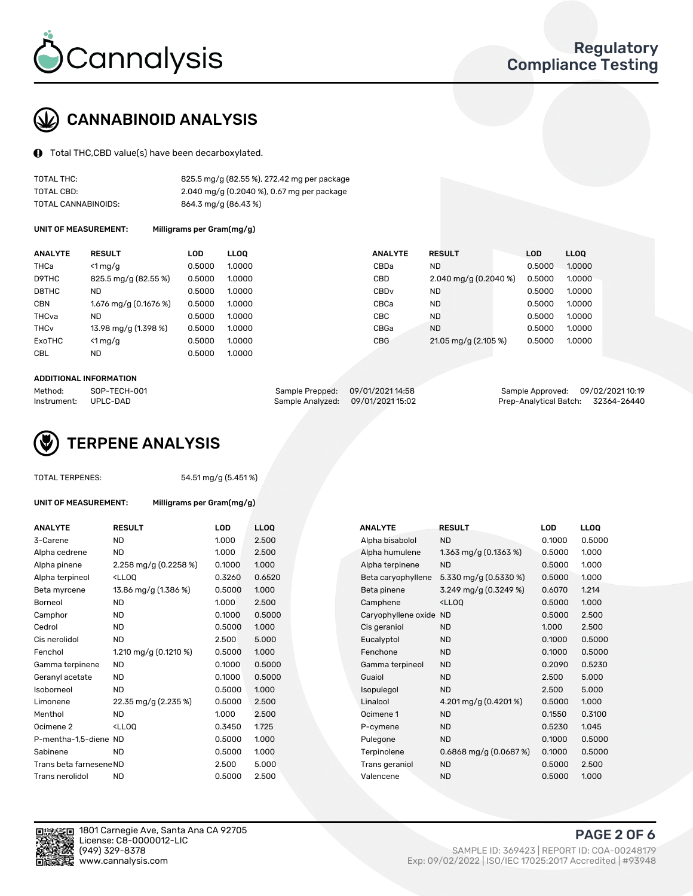

# CANNABINOID ANALYSIS

Total THC,CBD value(s) have been decarboxylated.

| TOTAL THC:          | 825.5 mg/g (82.55 %), 272.42 mg per package |
|---------------------|---------------------------------------------|
| TOTAL CBD:          | 2.040 mg/g (0.2040 %), 0.67 mg per package  |
| TOTAL CANNABINOIDS: | 864.3 mg/g (86.43 %)                        |

UNIT OF MEASUREMENT: Milligrams per Gram(mg/g)

| <b>ANALYTE</b>         | <b>RESULT</b>           | LOD    | <b>LLOO</b> | <b>ANALYTE</b>   | <b>RESULT</b>           | <b>LOD</b> | <b>LLOO</b> |
|------------------------|-------------------------|--------|-------------|------------------|-------------------------|------------|-------------|
| <b>THCa</b>            | $<$ 1 mg/g              | 0.5000 | 1.0000      | CBDa             | <b>ND</b>               | 0.5000     | 1.0000      |
| D9THC                  | 825.5 mg/g (82.55 %)    | 0.5000 | 1.0000      | <b>CBD</b>       | 2.040 mg/g $(0.2040\%)$ | 0.5000     | 1.0000      |
| D8THC                  | ND                      | 0.5000 | 1.0000      | CBD <sub>v</sub> | <b>ND</b>               | 0.5000     | 1.0000      |
| <b>CBN</b>             | $1.676$ mg/g (0.1676 %) | 0.5000 | 1.0000      | CBCa             | <b>ND</b>               | 0.5000     | 1.0000      |
| THCva                  | <b>ND</b>               | 0.5000 | 1.0000      | <b>CBC</b>       | <b>ND</b>               | 0.5000     | 1.0000      |
| <b>THC<sub>v</sub></b> | 13.98 mg/g (1.398 %)    | 0.5000 | 1.0000      | CBGa             | <b>ND</b>               | 0.5000     | 1.0000      |
| ExoTHC                 | $<$ 1 mg/g              | 0.5000 | 1.0000      | <b>CBG</b>       | 21.05 mg/g (2.105 %)    | 0.5000     | 1.0000      |
| <b>CBL</b>             | <b>ND</b>               | 0.5000 | 1.0000      |                  |                         |            |             |
|                        |                         |        |             |                  |                         |            |             |

#### ADDITIONAL INFORMATION

| Method:     | SOP-TECH-001 | Sample Prepped: 09/01/2021 14:58 | Sample Approved: 09/02/2021 10:19  |  |
|-------------|--------------|----------------------------------|------------------------------------|--|
| Instrument: | . UPLC-DAD   | Sample Analyzed: 09/01/202115:02 | Prep-Analytical Batch: 32364-26440 |  |



TOTAL TERPENES: 54.51 mg/g (5.451 %)

| UNIT OF MEASUREMENT:    | Milligrams per Gram(mg/g) |            |             |                        |                           |        |             |
|-------------------------|---------------------------|------------|-------------|------------------------|---------------------------|--------|-------------|
| ANALYTE                 | <b>RESULT</b>             | <b>LOD</b> | <b>LLOQ</b> | <b>ANALYTE</b>         | <b>RESULT</b>             | LOD    | <b>LLOQ</b> |
| 3-Carene                | <b>ND</b>                 | 1.000      | 2.500       | Alpha bisabolol        | <b>ND</b>                 | 0.1000 | 0.500       |
| Alpha cedrene           | <b>ND</b>                 | 1.000      | 2.500       | Alpha humulene         | 1.363 mg/g $(0.1363\%)$   | 0.5000 | 1.000       |
|                         |                           | 0.1000     | 1.000       | Alpha terpinene        | <b>ND</b>                 | 0.5000 | 1.000       |
| Alpha pinene            | 2.258 mg/g $(0.2258\%)$   |            |             |                        |                           |        |             |
| Alpha terpineol         | $<$ LLOO                  | 0.3260     | 0.6520      | Beta caryophyllene     | 5.330 mg/g (0.5330 %)     | 0.5000 | 1.000       |
| Beta myrcene            | 13.86 mg/g (1.386 %)      | 0.5000     | 1.000       | Beta pinene            | 3.249 mg/g (0.3249 %)     | 0.6070 | 1.214       |
| Borneol                 | <b>ND</b>                 | 1.000      | 2.500       | Camphene               | $<$ LLOO                  | 0.5000 | 1.000       |
| Camphor                 | <b>ND</b>                 | 0.1000     | 0.5000      | Caryophyllene oxide ND |                           | 0.5000 | 2.500       |
| Cedrol                  | <b>ND</b>                 | 0.5000     | 1.000       | Cis geraniol           | <b>ND</b>                 | 1.000  | 2.500       |
| Cis nerolidol           | <b>ND</b>                 | 2.500      | 5.000       | Eucalyptol             | <b>ND</b>                 | 0.1000 | 0.500       |
| Fenchol                 | 1.210 mg/g $(0.1210 \%)$  | 0.5000     | 1.000       | Fenchone               | <b>ND</b>                 | 0.1000 | 0.500       |
| Gamma terpinene         | <b>ND</b>                 | 0.1000     | 0.5000      | Gamma terpineol        | <b>ND</b>                 | 0.2090 | 0.523       |
| Geranyl acetate         | <b>ND</b>                 | 0.1000     | 0.5000      | Guaiol                 | <b>ND</b>                 | 2.500  | 5.000       |
| Isoborneol              | <b>ND</b>                 | 0.5000     | 1.000       | Isopulegol             | <b>ND</b>                 | 2.500  | 5.000       |
| Limonene                | 22.35 mg/g (2.235 %)      | 0.5000     | 2.500       | Linalool               | 4.201 mg/g (0.4201%)      | 0.5000 | 1.000       |
| Menthol                 | <b>ND</b>                 | 1.000      | 2.500       | Ocimene 1              | <b>ND</b>                 | 0.1550 | 0.310       |
| Ocimene 2               | $<$ LLOO                  | 0.3450     | 1.725       | P-cymene               | <b>ND</b>                 | 0.5230 | 1.045       |
| P-mentha-1,5-diene ND   |                           | 0.5000     | 1.000       | Pulegone               | <b>ND</b>                 | 0.1000 | 0.500       |
| Sabinene                | <b>ND</b>                 | 0.5000     | 1.000       | Terpinolene            | $0.6868$ mg/g $(0.0687%)$ | 0.1000 | 0.500       |
| Trans beta farnesene ND |                           | 2.500      | 5.000       | Trans geraniol         | <b>ND</b>                 | 0.5000 | 2.500       |
| Trans nerolidol         | ND                        | 0.5000     | 2.500       | Valencene              | <b>ND</b>                 | 0.5000 | 1.000       |
|                         |                           |            |             |                        |                           |        |             |
|                         |                           |            |             |                        |                           |        |             |

| <b>ANALYTE</b>          | <b>RESULT</b>                                                                                                                             | LOD    | <b>LLOQ</b> | <b>ANALYTE</b>         | <b>RESULT</b>                                      | LOD    | <b>LLOQ</b> |
|-------------------------|-------------------------------------------------------------------------------------------------------------------------------------------|--------|-------------|------------------------|----------------------------------------------------|--------|-------------|
| 3-Carene                | <b>ND</b>                                                                                                                                 | 1.000  | 2.500       | Alpha bisabolol        | <b>ND</b>                                          | 0.1000 | 0.5000      |
| Alpha cedrene           | <b>ND</b>                                                                                                                                 | 1.000  | 2.500       | Alpha humulene         | 1.363 mg/g $(0.1363\%)$                            | 0.5000 | 1.000       |
| Alpha pinene            | 2.258 mg/g $(0.2258\%)$                                                                                                                   | 0.1000 | 1.000       | Alpha terpinene        | <b>ND</b>                                          | 0.5000 | 1.000       |
| Alpha terpineol         | <lloq< td=""><td>0.3260</td><td>0.6520</td><td>Beta caryophyllene</td><td>5.330 mg/g (0.5330 %)</td><td>0.5000</td><td>1.000</td></lloq<> | 0.3260 | 0.6520      | Beta caryophyllene     | 5.330 mg/g (0.5330 %)                              | 0.5000 | 1.000       |
| Beta myrcene            | 13.86 mg/g (1.386 %)                                                                                                                      | 0.5000 | 1.000       | Beta pinene            | 3.249 mg/g (0.3249 %)                              | 0.6070 | 1.214       |
| Borneol                 | <b>ND</b>                                                                                                                                 | 1.000  | 2.500       | Camphene               | <ll0q< td=""><td>0.5000</td><td>1.000</td></ll0q<> | 0.5000 | 1.000       |
| Camphor                 | <b>ND</b>                                                                                                                                 | 0.1000 | 0.5000      | Caryophyllene oxide ND |                                                    | 0.5000 | 2.500       |
| Cedrol                  | <b>ND</b>                                                                                                                                 | 0.5000 | 1.000       | Cis geraniol           | <b>ND</b>                                          | 1.000  | 2.500       |
| Cis nerolidol           | <b>ND</b>                                                                                                                                 | 2.500  | 5.000       | Eucalyptol             | <b>ND</b>                                          | 0.1000 | 0.5000      |
| Fenchol                 | 1.210 mg/g $(0.1210 \%)$                                                                                                                  | 0.5000 | 1.000       | Fenchone               | <b>ND</b>                                          | 0.1000 | 0.5000      |
| Gamma terpinene         | <b>ND</b>                                                                                                                                 | 0.1000 | 0.5000      | Gamma terpineol        | <b>ND</b>                                          | 0.2090 | 0.5230      |
| Geranyl acetate         | <b>ND</b>                                                                                                                                 | 0.1000 | 0.5000      | Guaiol                 | <b>ND</b>                                          | 2.500  | 5.000       |
| Isoborneol              | <b>ND</b>                                                                                                                                 | 0.5000 | 1.000       | Isopulegol             | <b>ND</b>                                          | 2.500  | 5.000       |
| Limonene                | 22.35 mg/g (2.235 %)                                                                                                                      | 0.5000 | 2.500       | Linalool               | 4.201 mg/g $(0.4201\%)$                            | 0.5000 | 1.000       |
| Menthol                 | <b>ND</b>                                                                                                                                 | 1.000  | 2.500       | Ocimene 1              | <b>ND</b>                                          | 0.1550 | 0.3100      |
| Ocimene 2               | <lloq< td=""><td>0.3450</td><td>1.725</td><td>P-cymene</td><td><b>ND</b></td><td>0.5230</td><td>1.045</td></lloq<>                        | 0.3450 | 1.725       | P-cymene               | <b>ND</b>                                          | 0.5230 | 1.045       |
| P-mentha-1,5-diene ND   |                                                                                                                                           | 0.5000 | 1.000       | Pulegone               | <b>ND</b>                                          | 0.1000 | 0.5000      |
| Sabinene                | <b>ND</b>                                                                                                                                 | 0.5000 | 1.000       | Terpinolene            | $0.6868$ mg/g $(0.0687%)$                          | 0.1000 | 0.5000      |
| Trans beta farnesene ND |                                                                                                                                           | 2.500  | 5.000       | Trans geraniol         | <b>ND</b>                                          | 0.5000 | 2.500       |
| Trans nerolidol         | <b>ND</b>                                                                                                                                 | 0.5000 | 2.500       | Valencene              | <b>ND</b>                                          | 0.5000 | 1.000       |



1801 Carnegie Ave, Santa Ana CA 92705 License: C8-0000012-LIC<br>(949) 329-8378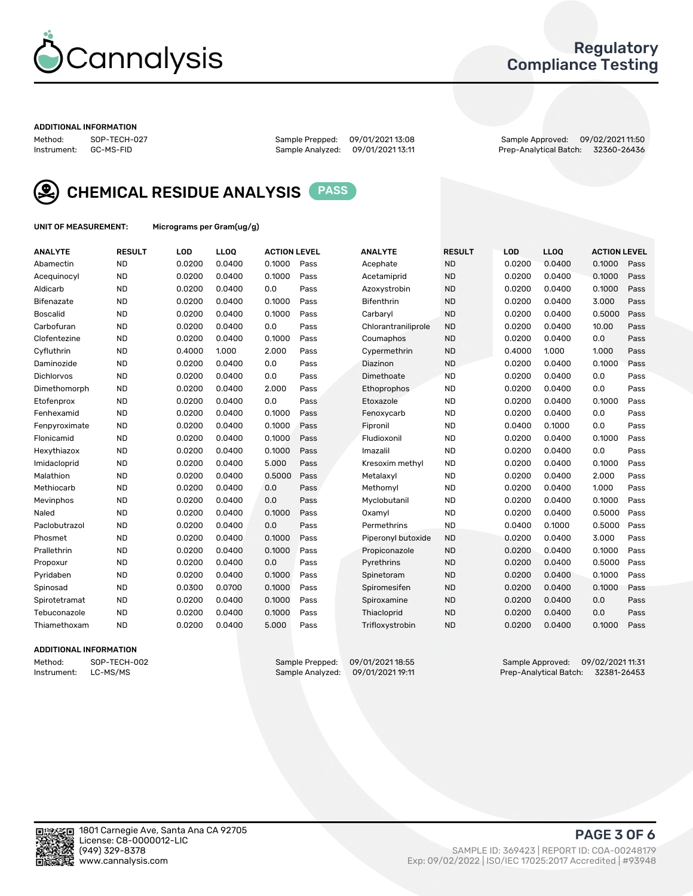

### Regulatory Compliance Testing

#### ADDITIONAL INFORMATION

Method: SOP-TECH-027 Sample Prepped: 09/01/2021 13:08 Sample Approved: 09/02/2021 11:50 Prep-Analytical Batch: 32360-26436



CHEMICAL RESIDUE ANALYSIS PASS

UNIT OF MEASUREMENT: Micrograms per Gram(ug/g)

| <b>ANALYTE</b>    | <b>RESULT</b> | LOD    | LL <sub>OO</sub> | <b>ACTION LEVEL</b> |      | <b>ANALYTE</b>      | <b>RESULT</b> | LOD    | <b>LLOQ</b> | <b>ACTION LEVEL</b> |      |
|-------------------|---------------|--------|------------------|---------------------|------|---------------------|---------------|--------|-------------|---------------------|------|
| Abamectin         | <b>ND</b>     | 0.0200 | 0.0400           | 0.1000              | Pass | Acephate            | <b>ND</b>     | 0.0200 | 0.0400      | 0.1000              | Pass |
| Acequinocyl       | <b>ND</b>     | 0.0200 | 0.0400           | 0.1000              | Pass | Acetamiprid         | <b>ND</b>     | 0.0200 | 0.0400      | 0.1000              | Pass |
| Aldicarb          | <b>ND</b>     | 0.0200 | 0.0400           | 0.0                 | Pass | Azoxystrobin        | <b>ND</b>     | 0.0200 | 0.0400      | 0.1000              | Pass |
| Bifenazate        | <b>ND</b>     | 0.0200 | 0.0400           | 0.1000              | Pass | <b>Bifenthrin</b>   | <b>ND</b>     | 0.0200 | 0.0400      | 3.000               | Pass |
| <b>Boscalid</b>   | <b>ND</b>     | 0.0200 | 0.0400           | 0.1000              | Pass | Carbaryl            | <b>ND</b>     | 0.0200 | 0.0400      | 0.5000              | Pass |
| Carbofuran        | <b>ND</b>     | 0.0200 | 0.0400           | 0.0                 | Pass | Chlorantraniliprole | <b>ND</b>     | 0.0200 | 0.0400      | 10.00               | Pass |
| Clofentezine      | <b>ND</b>     | 0.0200 | 0.0400           | 0.1000              | Pass | Coumaphos           | <b>ND</b>     | 0.0200 | 0.0400      | 0.0                 | Pass |
| Cyfluthrin        | <b>ND</b>     | 0.4000 | 1.000            | 2.000               | Pass | Cypermethrin        | <b>ND</b>     | 0.4000 | 1.000       | 1.000               | Pass |
| Daminozide        | <b>ND</b>     | 0.0200 | 0.0400           | 0.0                 | Pass | Diazinon            | <b>ND</b>     | 0.0200 | 0.0400      | 0.1000              | Pass |
| <b>Dichlorvos</b> | <b>ND</b>     | 0.0200 | 0.0400           | 0.0                 | Pass | Dimethoate          | <b>ND</b>     | 0.0200 | 0.0400      | 0.0                 | Pass |
| Dimethomorph      | <b>ND</b>     | 0.0200 | 0.0400           | 2.000               | Pass | Ethoprophos         | <b>ND</b>     | 0.0200 | 0.0400      | 0.0                 | Pass |
| Etofenprox        | <b>ND</b>     | 0.0200 | 0.0400           | 0.0                 | Pass | Etoxazole           | <b>ND</b>     | 0.0200 | 0.0400      | 0.1000              | Pass |
| Fenhexamid        | <b>ND</b>     | 0.0200 | 0.0400           | 0.1000              | Pass | Fenoxycarb          | <b>ND</b>     | 0.0200 | 0.0400      | 0.0                 | Pass |
| Fenpyroximate     | <b>ND</b>     | 0.0200 | 0.0400           | 0.1000              | Pass | Fipronil            | <b>ND</b>     | 0.0400 | 0.1000      | 0.0                 | Pass |
| Flonicamid        | <b>ND</b>     | 0.0200 | 0.0400           | 0.1000              | Pass | Fludioxonil         | <b>ND</b>     | 0.0200 | 0.0400      | 0.1000              | Pass |
| Hexythiazox       | <b>ND</b>     | 0.0200 | 0.0400           | 0.1000              | Pass | Imazalil            | <b>ND</b>     | 0.0200 | 0.0400      | 0.0                 | Pass |
| Imidacloprid      | <b>ND</b>     | 0.0200 | 0.0400           | 5.000               | Pass | Kresoxim methyl     | <b>ND</b>     | 0.0200 | 0.0400      | 0.1000              | Pass |
| Malathion         | <b>ND</b>     | 0.0200 | 0.0400           | 0.5000              | Pass | Metalaxyl           | <b>ND</b>     | 0.0200 | 0.0400      | 2.000               | Pass |
| Methiocarb        | <b>ND</b>     | 0.0200 | 0.0400           | 0.0                 | Pass | Methomyl            | <b>ND</b>     | 0.0200 | 0.0400      | 1.000               | Pass |
| Mevinphos         | <b>ND</b>     | 0.0200 | 0.0400           | 0.0                 | Pass | Myclobutanil        | <b>ND</b>     | 0.0200 | 0.0400      | 0.1000              | Pass |
| Naled             | <b>ND</b>     | 0.0200 | 0.0400           | 0.1000              | Pass | Oxamyl              | <b>ND</b>     | 0.0200 | 0.0400      | 0.5000              | Pass |
| Paclobutrazol     | <b>ND</b>     | 0.0200 | 0.0400           | 0.0                 | Pass | Permethrins         | <b>ND</b>     | 0.0400 | 0.1000      | 0.5000              | Pass |
| Phosmet           | <b>ND</b>     | 0.0200 | 0.0400           | 0.1000              | Pass | Piperonyl butoxide  | <b>ND</b>     | 0.0200 | 0.0400      | 3.000               | Pass |
| Prallethrin       | <b>ND</b>     | 0.0200 | 0.0400           | 0.1000              | Pass | Propiconazole       | <b>ND</b>     | 0.0200 | 0.0400      | 0.1000              | Pass |
| Propoxur          | <b>ND</b>     | 0.0200 | 0.0400           | 0.0                 | Pass | Pyrethrins          | <b>ND</b>     | 0.0200 | 0.0400      | 0.5000              | Pass |
| Pyridaben         | <b>ND</b>     | 0.0200 | 0.0400           | 0.1000              | Pass | Spinetoram          | <b>ND</b>     | 0.0200 | 0.0400      | 0.1000              | Pass |
| Spinosad          | <b>ND</b>     | 0.0300 | 0.0700           | 0.1000              | Pass | Spiromesifen        | <b>ND</b>     | 0.0200 | 0.0400      | 0.1000              | Pass |
| Spirotetramat     | <b>ND</b>     | 0.0200 | 0.0400           | 0.1000              | Pass | Spiroxamine         | <b>ND</b>     | 0.0200 | 0.0400      | 0.0                 | Pass |
| Tebuconazole      | <b>ND</b>     | 0.0200 | 0.0400           | 0.1000              | Pass | Thiacloprid         | <b>ND</b>     | 0.0200 | 0.0400      | 0.0                 | Pass |
| Thiamethoxam      | <b>ND</b>     | 0.0200 | 0.0400           | 5.000               | Pass | Trifloxystrobin     | <b>ND</b>     | 0.0200 | 0.0400      | 0.1000              | Pass |

#### ADDITIONAL INFORMATION

Method: SOP-TECH-002 Sample Prepped: 09/01/2021 18:55 Sample Approved: 09/02/2021 11:31 Prep-Analytical Batch: 32381-26453

PAGE 3 OF 6

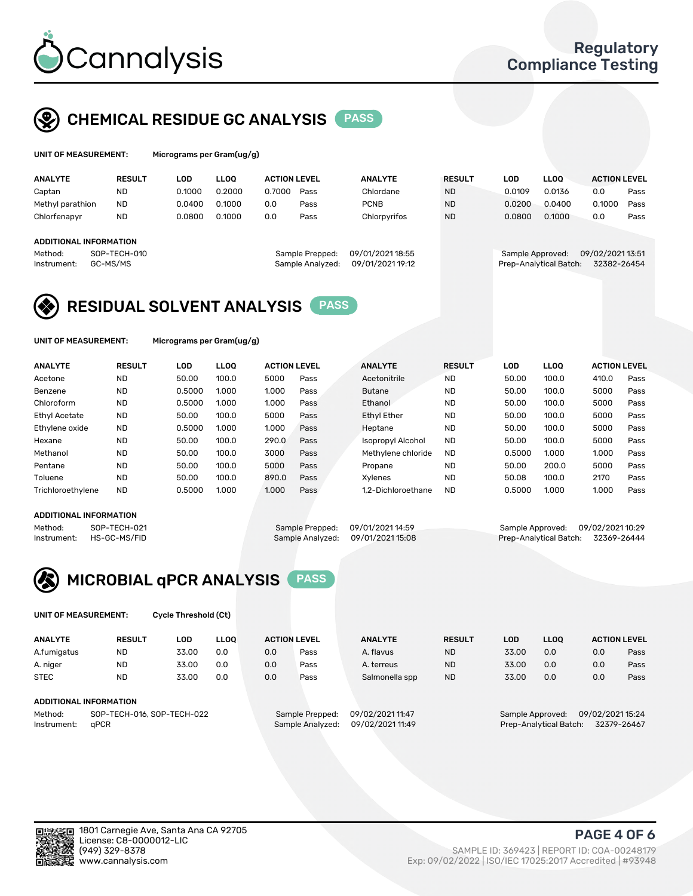

# CHEMICAL RESIDUE GC ANALYSIS PASS

rograms per Gram(ug/g)

| <b>ANALYTE</b>                | <b>RESULT</b> | LOD    | <b>LLOO</b> | <b>ACTION LEVEL</b> |                  | <b>ANALYTE</b>   | <b>RESULT</b> | <b>LOD</b>       | <b>LLOO</b>            | <b>ACTION LEVEL</b> |      |
|-------------------------------|---------------|--------|-------------|---------------------|------------------|------------------|---------------|------------------|------------------------|---------------------|------|
| Captan                        | <b>ND</b>     | 0.1000 | 0.2000      | 0.7000              | Pass             | Chlordane        | <b>ND</b>     | 0.0109           | 0.0136                 | 0.0                 | Pass |
| Methyl parathion              | <b>ND</b>     | 0.0400 | 0.1000      | 0.0                 | Pass             | <b>PCNB</b>      | <b>ND</b>     | 0.0200           | 0.0400                 | 0.1000              | Pass |
| Chlorfenapyr                  | <b>ND</b>     | 0.0800 | 0.1000      | 0.0                 | Pass             | Chlorpyrifos     | <b>ND</b>     | 0.0800           | 0.1000                 | 0.0                 | Pass |
|                               |               |        |             |                     |                  |                  |               |                  |                        |                     |      |
| <b>ADDITIONAL INFORMATION</b> |               |        |             |                     |                  |                  |               |                  |                        |                     |      |
| Method:                       | SOP-TECH-010  |        |             |                     | Sample Prepped:  | 09/01/2021 18:55 |               | Sample Approved: |                        | 09/02/2021 13:51    |      |
| Instrument:                   | GC-MS/MS      |        |             |                     | Sample Analyzed: | 09/01/2021 19:12 |               |                  | Prep-Analytical Batch: | 32382-26454         |      |
|                               |               |        |             |                     |                  |                  |               |                  |                        |                     |      |

# RESIDUAL SOLVENT ANALYSIS PASS

UNIT OF MEASUREMENT: Micrograms per Gram(ug/g)

| <b>ANALYTE</b>       | <b>RESULT</b> | LOD    | <b>LLOO</b> | <b>ACTION LEVEL</b> |      | <b>ANALYTE</b>           | <b>RESULT</b> | LOD    | <b>LLOO</b> | <b>ACTION LEVEL</b> |      |
|----------------------|---------------|--------|-------------|---------------------|------|--------------------------|---------------|--------|-------------|---------------------|------|
| Acetone              | <b>ND</b>     | 50.00  | 100.0       | 5000                | Pass | Acetonitrile             | <b>ND</b>     | 50.00  | 100.0       | 410.0               | Pass |
| Benzene              | <b>ND</b>     | 0.5000 | 1.000       | 1.000               | Pass | <b>Butane</b>            | <b>ND</b>     | 50.00  | 100.0       | 5000                | Pass |
| Chloroform           | <b>ND</b>     | 0.5000 | 1.000       | 1.000               | Pass | Ethanol                  | <b>ND</b>     | 50.00  | 100.0       | 5000                | Pass |
| <b>Ethyl Acetate</b> | <b>ND</b>     | 50.00  | 100.0       | 5000                | Pass | <b>Ethyl Ether</b>       | <b>ND</b>     | 50.00  | 100.0       | 5000                | Pass |
| Ethylene oxide       | <b>ND</b>     | 0.5000 | 1.000       | 1.000               | Pass | Heptane                  | <b>ND</b>     | 50.00  | 100.0       | 5000                | Pass |
| Hexane               | <b>ND</b>     | 50.00  | 100.0       | 290.0               | Pass | <b>Isopropyl Alcohol</b> | <b>ND</b>     | 50.00  | 100.0       | 5000                | Pass |
| Methanol             | <b>ND</b>     | 50.00  | 100.0       | 3000                | Pass | Methylene chloride       | <b>ND</b>     | 0.5000 | 1.000       | 1.000               | Pass |
| Pentane              | <b>ND</b>     | 50.00  | 100.0       | 5000                | Pass | Propane                  | <b>ND</b>     | 50.00  | 200.0       | 5000                | Pass |
| Toluene              | <b>ND</b>     | 50.00  | 100.0       | 890.0               | Pass | Xvlenes                  | <b>ND</b>     | 50.08  | 100.0       | 2170                | Pass |
| Trichloroethylene    | <b>ND</b>     | 0.5000 | 1.000       | 1.000               | Pass | 1.2-Dichloroethane       | <b>ND</b>     | 0.5000 | 1.000       | 1.000               | Pass |

#### ADDITIONAL INFORMATION

Method: SOP-TECH-021 Sample Prepped: 09/01/2021 14:59 Sample Approved: 09/02/2021 10:29<br>Sample Analyzed: 09/01/2021 15:08 Prep-Analytical Batch: 32369-26444 Prep-Analytical Batch: 32369-26444



UNIT OF MEASUREMENT: Cycle Threshold (Ct)

| <b>ANALYTE</b> | <b>RESULT</b>              | LOD   | <b>LLOO</b> |     | <b>ACTION LEVEL</b> | <b>ANALYTE</b>   | <b>RESULT</b> | <b>LOD</b> | <b>LLOO</b>            |                  | <b>ACTION LEVEL</b> |
|----------------|----------------------------|-------|-------------|-----|---------------------|------------------|---------------|------------|------------------------|------------------|---------------------|
| A.fumigatus    | <b>ND</b>                  | 33.00 | 0.0         | 0.0 | Pass                | A. flavus        | <b>ND</b>     | 33.00      | 0.0                    | 0.0              | Pass                |
| A. niger       | <b>ND</b>                  | 33.00 | 0.0         | 0.0 | Pass                | A. terreus       | <b>ND</b>     | 33.00      | 0.0                    | 0.0              | Pass                |
| <b>STEC</b>    | <b>ND</b>                  | 33.00 | 0.0         | 0.0 | Pass                | Salmonella spp   | <b>ND</b>     | 33.00      | 0.0                    | 0.0              | Pass                |
|                | ADDITIONAL INFORMATION     |       |             |     |                     |                  |               |            |                        |                  |                     |
| Method:        | SOP-TECH-016, SOP-TECH-022 |       |             |     | Sample Prepped:     | 09/02/2021 11:47 |               |            | Sample Approved:       | 09/02/2021 15:24 |                     |
| Instrument:    | aPCR                       |       |             |     | Sample Analyzed:    | 09/02/2021 11:49 |               |            | Prep-Analytical Batch: |                  | 32379-26467         |

PAGE 4 OF 6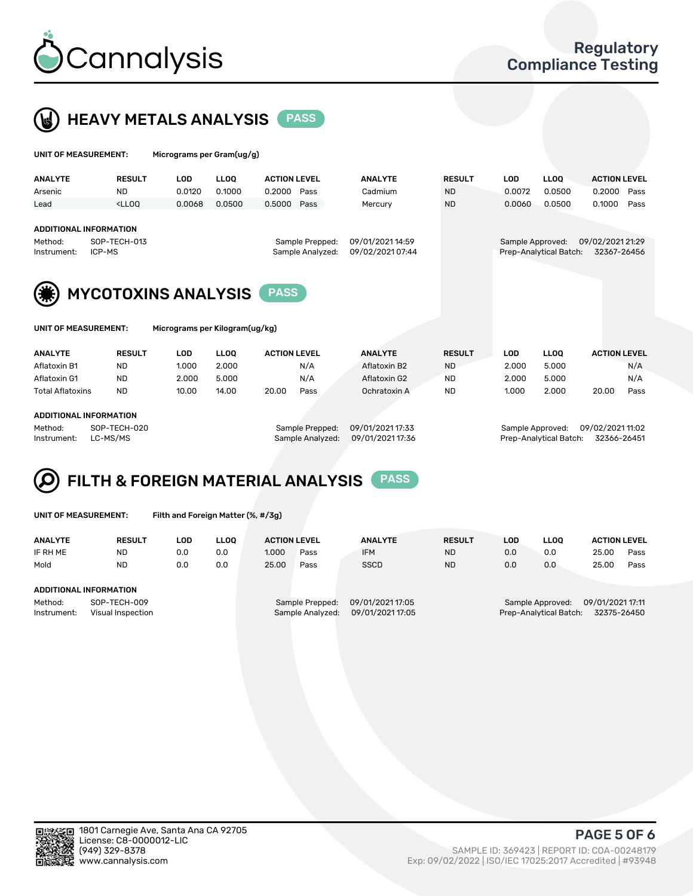



| UNIT OF MEASUREMENT:                                                                                                     |                                                                                                                                                                         | Micrograms per Gram(ug/g)      |        |                                      |                |                  |                        |                                 |                     |      |  |
|--------------------------------------------------------------------------------------------------------------------------|-------------------------------------------------------------------------------------------------------------------------------------------------------------------------|--------------------------------|--------|--------------------------------------|----------------|------------------|------------------------|---------------------------------|---------------------|------|--|
| <b>ANALYTE</b>                                                                                                           | <b>RESULT</b>                                                                                                                                                           | <b>LOD</b>                     | LLOO   | <b>ACTION LEVEL</b>                  | <b>ANALYTE</b> | <b>RESULT</b>    | <b>LOD</b>             | <b>LLOO</b>                     | <b>ACTION LEVEL</b> |      |  |
| Arsenic                                                                                                                  | <b>ND</b>                                                                                                                                                               | 0.0120                         | 0.1000 | 0.2000<br>Pass                       | Cadmium        | <b>ND</b>        | 0.0072                 | 0.0500                          | 0.2000              | Pass |  |
| Lead                                                                                                                     | <lloo< td=""><td>0.0068</td><td>0.0500</td><td>0.5000<br/>Pass</td><td>Mercury</td><td><b>ND</b></td><td>0.0060</td><td>0.0500</td><td>0.1000</td><td>Pass</td></lloo<> | 0.0068                         | 0.0500 | 0.5000<br>Pass                       | Mercury        | <b>ND</b>        | 0.0060                 | 0.0500                          | 0.1000              | Pass |  |
| <b>ADDITIONAL INFORMATION</b><br>SOP-TECH-013<br>Method:<br>Sample Prepped:<br>Sample Analyzed:<br>ICP-MS<br>Instrument: |                                                                                                                                                                         |                                |        | 09/01/2021 14:59<br>09/02/2021 07:44 |                | Sample Approved: | Prep-Analytical Batch: | 09/02/2021 21:29<br>32367-26456 |                     |      |  |
|                                                                                                                          | <b>MYCOTOXINS ANALYSIS</b><br><b>PASS</b>                                                                                                                               |                                |        |                                      |                |                  |                        |                                 |                     |      |  |
| UNIT OF MEASUREMENT:                                                                                                     |                                                                                                                                                                         | Micrograms per Kilogram(ug/kg) |        |                                      |                |                  |                        |                                 |                     |      |  |
| <b>ANALYTE</b>                                                                                                           | <b>RESULT</b>                                                                                                                                                           | <b>LOD</b>                     | LLOO   | <b>ACTION LEVEL</b>                  | <b>ANALYTE</b> | <b>RESULT</b>    | <b>LOD</b>             | <b>LLOQ</b>                     | <b>ACTION LEVEL</b> |      |  |
| Aflatoxin B1                                                                                                             | <b>ND</b>                                                                                                                                                               | 1.000                          | 2.000  | N/A                                  | Aflatoxin B2   | <b>ND</b>        | 2.000                  | 5.000                           |                     | N/A  |  |
| Aflatoxin G1                                                                                                             | <b>ND</b>                                                                                                                                                               | 2.000                          | 5.000  | N/A                                  | Aflatoxin G2   | <b>ND</b>        | 2.000                  | 5.000                           |                     | N/A  |  |
| <b>Total Aflatoxins</b>                                                                                                  | <b>ND</b>                                                                                                                                                               | 10.00                          | 14.00  | 20.00<br>Pass                        | Ochratoxin A   | <b>ND</b>        | 1.000                  | 2.000                           | 20.00               | Pass |  |

#### ADDITIONAL INFORMATION

Method: SOP-TECH-020 Sample Prepped: 09/01/2021 17:33 Sample Approved: 09/02/2021 11:02 Instrument: LC-MS/MS Sample Analyzed: 09/01/2021 17:36 Prep-Analytical Batch: 32366-26451

FILTH & FOREIGN MATERIAL ANALYSIS PASS Q

UNIT OF MEASUREMENT: Filth and Foreign Matter (%, #/3g)

| <b>ANALYTE</b>         | <b>RESULT</b>                     | LOD. | LLOO | <b>ACTION LEVEL</b> |                                     | <b>ANALYTE</b>                       | <b>RESULT</b> | LOD | <b>LLOO</b>                                | <b>ACTION LEVEL</b>             |      |
|------------------------|-----------------------------------|------|------|---------------------|-------------------------------------|--------------------------------------|---------------|-----|--------------------------------------------|---------------------------------|------|
| IF RH ME               | <b>ND</b>                         | 0.0  | 0.0  | 1.000               | Pass                                | <b>IFM</b>                           | <b>ND</b>     | 0.0 | 0.0                                        | 25.00                           | Pass |
| Mold                   | <b>ND</b>                         | 0.0  | 0.0  | 25.00               | Pass                                | <b>SSCD</b>                          | <b>ND</b>     | 0.0 | 0.0                                        | 25.00                           | Pass |
| ADDITIONAL INFORMATION |                                   |      |      |                     |                                     |                                      |               |     |                                            |                                 |      |
| Method:<br>Instrument: | SOP-TECH-009<br>Visual Inspection |      |      |                     | Sample Prepped:<br>Sample Analyzed: | 09/01/2021 17:05<br>09/01/2021 17:05 |               |     | Sample Approved:<br>Prep-Analytical Batch: | 09/01/2021 17:11<br>32375-26450 |      |



PAGE 5 OF 6